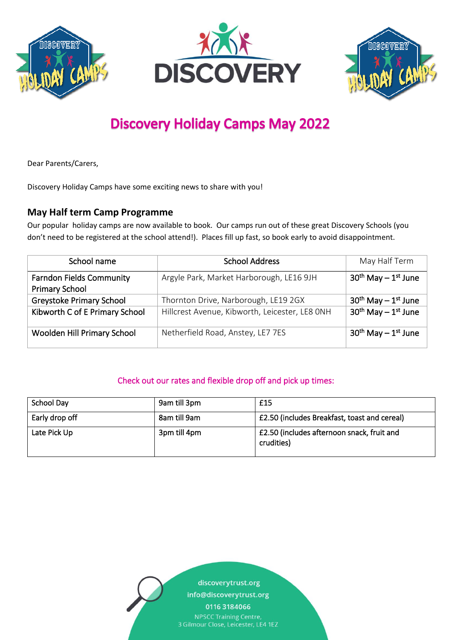





# **Discovery Holiday Camps May 2022**

Dear Parents/Carers,

Discovery Holiday Camps have some exciting news to share with you!

## **May Half term Camp Programme**

Our popular holiday camps are now available to book. Our camps run out of these great Discovery Schools (you don't need to be registered at the school attend!). Places fill up fast, so book early to avoid disappointment.

| School name                                              | <b>School Address</b>                          | May Half Term          |
|----------------------------------------------------------|------------------------------------------------|------------------------|
| <b>Farndon Fields Community</b><br><b>Primary School</b> | Argyle Park, Market Harborough, LE16 9JH       | $30th$ May $-1st$ June |
| <b>Greystoke Primary School</b>                          | Thornton Drive, Narborough, LE19 2GX           | $30th$ May $-1st$ June |
| Kibworth C of E Primary School                           | Hillcrest Avenue, Kibworth, Leicester, LE8 ONH | $30th$ May $-1st$ June |
| Woolden Hill Primary School                              | Netherfield Road, Anstey, LE7 7ES              | $30th$ May $-1st$ June |

### Check out our rates and flexible drop off and pick up times:

| School Day     | 9am till 3pm | £15                                                      |
|----------------|--------------|----------------------------------------------------------|
| Early drop off | 8am till 9am | £2.50 (includes Breakfast, toast and cereal)             |
| Late Pick Up   | 3pm till 4pm | £2.50 (includes afternoon snack, fruit and<br>crudities) |

discoverytrust.org

info@discoverytrust.org

0116 3184066

**NPSCC Training Centre,** 3 Gilmour Close, Leicester, LE4 1EZ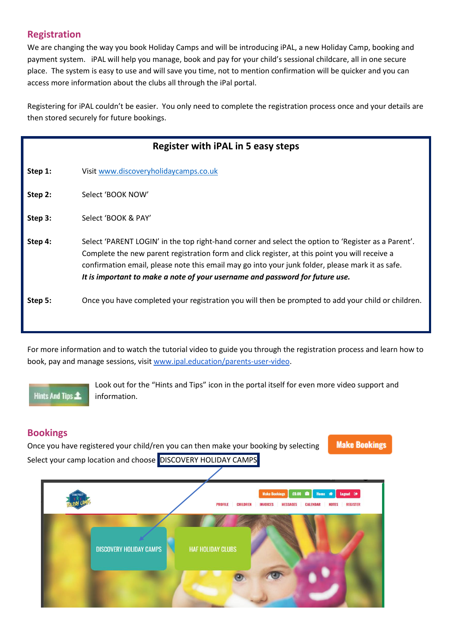## **Registration**

We are changing the way you book Holiday Camps and will be introducing iPAL, a new Holiday Camp, booking and payment system. iPAL will help you manage, book and pay for your child's sessional childcare, all in one secure place. The system is easy to use and will save you time, not to mention confirmation will be quicker and you can access more information about the clubs all through the iPal portal.

Registering for iPAL couldn't be easier. You only need to complete the registration process once and your details are then stored securely for future bookings.

| Register with iPAL in 5 easy steps |                                                                                                                                                                                                                                                                                                                                                                                           |  |  |  |
|------------------------------------|-------------------------------------------------------------------------------------------------------------------------------------------------------------------------------------------------------------------------------------------------------------------------------------------------------------------------------------------------------------------------------------------|--|--|--|
| Step 1:                            | Visit www.discoveryholidaycamps.co.uk                                                                                                                                                                                                                                                                                                                                                     |  |  |  |
| Step 2:                            | Select 'BOOK NOW'                                                                                                                                                                                                                                                                                                                                                                         |  |  |  |
| Step 3:                            | Select 'BOOK & PAY'                                                                                                                                                                                                                                                                                                                                                                       |  |  |  |
| Step 4:                            | Select 'PARENT LOGIN' in the top right-hand corner and select the option to 'Register as a Parent'.<br>Complete the new parent registration form and click register, at this point you will receive a<br>confirmation email, please note this email may go into your junk folder, please mark it as safe.<br>It is important to make a note of your username and password for future use. |  |  |  |
| Step 5:                            | Once you have completed your registration you will then be prompted to add your child or children.                                                                                                                                                                                                                                                                                        |  |  |  |

For more information and to watch the tutorial video to guide you through the registration process and learn how to book, pay and manage sessions, visit [www.ipal.education/parents-user-video.](https://www.ipal.education/parents-user-video)

**Hints And Tips 1** 

Look out for the "Hints and Tips" icon in the portal itself for even more video support and information.

## **Bookings**

**Make Bookings** Once you have registered your child/ren you can then make your booking by selecting Select your camp location and choose DISCOVERY HOLIDAY CAMPS

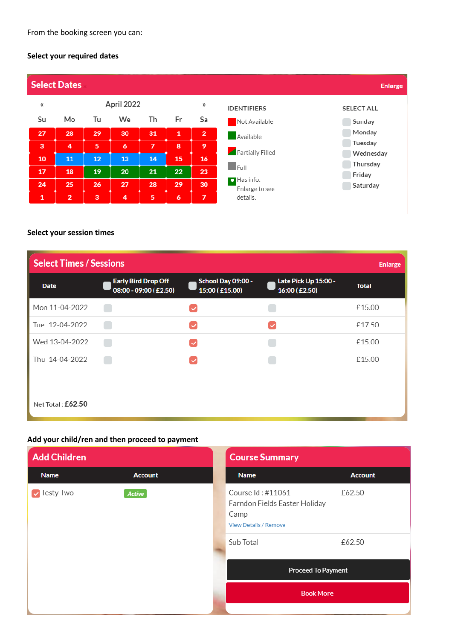#### **Select your required dates**



#### **Select your session times**

| <b>Select Times / Sessions</b><br><b>Enlarge</b> |                                                     |                                      |                                       |              |  |
|--------------------------------------------------|-----------------------------------------------------|--------------------------------------|---------------------------------------|--------------|--|
| <b>Date</b>                                      | <b>Early Bird Drop Off</b><br>08:00 - 09:00 (£2.50) | School Day 09:00 -<br>15:00 (£15.00) | Late Pick Up 15:00 -<br>16:00 (£2.50) | <b>Total</b> |  |
| Mon 11-04-2022                                   |                                                     | $\checkmark$                         |                                       | £15.00       |  |
| Tue 12-04-2022                                   |                                                     | $\checkmark$                         | $\checkmark$                          | £17.50       |  |
| Wed 13-04-2022                                   |                                                     | ▽                                    |                                       | £15.00       |  |
| Thu 14-04-2022                                   |                                                     | $\checkmark$                         |                                       | £15.00       |  |
| Net Total: £62.50                                |                                                     |                                      |                                       |              |  |

#### **Add your child/ren and then proceed to payment**

| <b>Add Children</b>        |                                                                                                         | <b>Course Summary</b>     |                |
|----------------------------|---------------------------------------------------------------------------------------------------------|---------------------------|----------------|
| <b>Name</b>                | <b>Account</b>                                                                                          | <b>Name</b>               | <b>Account</b> |
| Testy Two<br><b>Active</b> | Course Id: #11061<br>Farndon Fields Easter Holiday<br>Camp<br><b>View Details / Remove</b><br>Sub Total | £62.50<br>£62.50          |                |
|                            |                                                                                                         | <b>Proceed To Payment</b> |                |
|                            |                                                                                                         | <b>Book More</b>          |                |
|                            |                                                                                                         |                           |                |